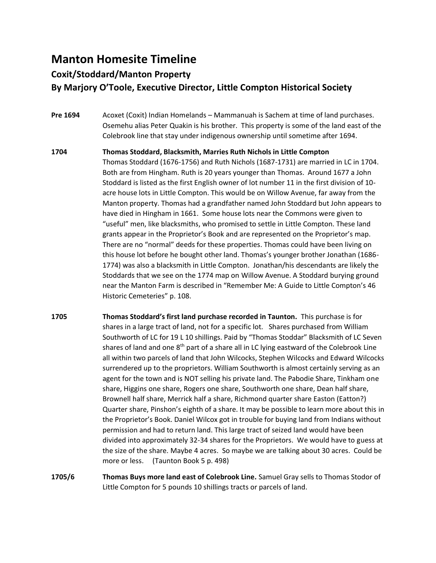## **Manton Homesite Timeline**

## **Coxit/Stoddard/Manton Property By Marjory O'Toole, Executive Director, Little Compton Historical Society**

- **Pre 1694** Acoxet (Coxit) Indian Homelands Mammanuah is Sachem at time of land purchases. Osemehu alias Peter Quakin is his brother. This property is some of the land east of the Colebrook line that stay under indigenous ownership until sometime after 1694.
- **1704 Thomas Stoddard, Blacksmith, Marries Ruth Nichols in Little Compton** Thomas Stoddard (1676-1756) and Ruth Nichols (1687-1731) are married in LC in 1704. Both are from Hingham. Ruth is 20 years younger than Thomas. Around 1677 a John Stoddard is listed as the first English owner of lot number 11 in the first division of 10 acre house lots in Little Compton. This would be on Willow Avenue, far away from the Manton property. Thomas had a grandfather named John Stoddard but John appears to have died in Hingham in 1661. Some house lots near the Commons were given to "useful" men, like blacksmiths, who promised to settle in Little Compton. These land grants appear in the Proprietor's Book and are represented on the Proprietor's map. There are no "normal" deeds for these properties. Thomas could have been living on this house lot before he bought other land. Thomas's younger brother Jonathan (1686- 1774) was also a blacksmith in Little Compton. Jonathan/his descendants are likely the Stoddards that we see on the 1774 map on Willow Avenue. A Stoddard burying ground near the Manton Farm is described in "Remember Me: A Guide to Little Compton's 46 Historic Cemeteries" p. 108.
- **1705 Thomas Stoddard's first land purchase recorded in Taunton.** This purchase is for shares in a large tract of land, not for a specific lot. Shares purchased from William Southworth of LC for 19 L 10 shillings. Paid by "Thomas Stoddar" Blacksmith of LC Seven shares of land and one  $8<sup>th</sup>$  part of a share all in LC lying eastward of the Colebrook Line all within two parcels of land that John Wilcocks, Stephen Wilcocks and Edward Wilcocks surrendered up to the proprietors. William Southworth is almost certainly serving as an agent for the town and is NOT selling his private land. The Pabodie Share, Tinkham one share, Higgins one share, Rogers one share, Southworth one share, Dean half share, Brownell half share, Merrick half a share, Richmond quarter share Easton (Eatton?) Quarter share, Pinshon's eighth of a share. It may be possible to learn more about this in the Proprietor's Book. Daniel Wilcox got in trouble for buying land from Indians without permission and had to return land. This large tract of seized land would have been divided into approximately 32-34 shares for the Proprietors. We would have to guess at the size of the share. Maybe 4 acres. So maybe we are talking about 30 acres. Could be more or less. (Taunton Book 5 p. 498)
- **1705/6 Thomas Buys more land east of Colebrook Line.** Samuel Gray sells to Thomas Stodor of Little Compton for 5 pounds 10 shillings tracts or parcels of land.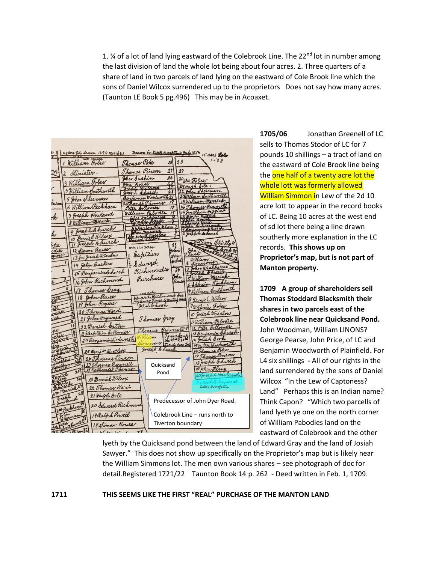1.  $\frac{3}{4}$  of a lot of land lying eastward of the Colebrook Line. The 22<sup>nd</sup> lot in number among the last division of land the whole lot being about four acres. 2. Three quarters of a share of land in two parcels of land lying on the eastward of Cole Brook line which the sons of Daniel Wilcox surrendered up to the proprietors Does not say how many acres. (Taunton LE Book 5 pg.496) This may be in Acoaxet.

| $\mathbb{Z}$ | 24 acre Loto drawn 1694 march 21                 |                |                                                  |                      | Inoun in Kittle Comptons July 1874 15 assis Lots                                                                       |
|--------------|--------------------------------------------------|----------------|--------------------------------------------------|----------------------|------------------------------------------------------------------------------------------------------------------------|
|              | William Fobee                                    | Thomas Pope    |                                                  | 28<br>28             | $1 - 33$                                                                                                               |
| Ł            | 2 Minister.                                      | Thomas Pinson  |                                                  | 27<br>2 <sub>2</sub> |                                                                                                                        |
|              | 3 William Fober                                  | John Eushin    |                                                  | 26<br>25             | 30 who Fober                                                                                                           |
|              |                                                  | John Rouse     |                                                  | 24                   | 29 Hugh Coler:                                                                                                         |
|              | 4 William Southworth                             | Joseph Church  | Benjamin Woodworth 21                            | 23                   | 22 John Sherman<br>201/2lliam Southworth                                                                               |
| burne        | 5 John Sherman                                   |                | Mathaniel Thomas                                 | 19                   | 18 William-Merrick                                                                                                     |
|              | 6 William Peckham                                | Peter Collomer |                                                  | 12                   | 16 Thomas Browners                                                                                                     |
| Her          | 7 Joseph Howland                                 |                | William Pabodie                                  | $\sqrt{5}$           | 14 Jonathan Higgins<br>12 October Bartheth<br>10 Photo Control<br>10 Photo Bichard College<br>4 Control Charles Church |
|              | 8 William Merrich                                |                | John Washburner                                  |                      |                                                                                                                        |
|              | 9 Joseph & hurch                                 |                | Shhraim Tinkham                                  |                      |                                                                                                                        |
| hr           | 10 Daniel Wilcox                                 |                | the town Wington                                 |                      |                                                                                                                        |
| ope          | 11 Joseph Church                                 |                |                                                  | 33                   | William Shirtly 31                                                                                                     |
| odie         | 12 Simon Rouse                                   | grea 120 acres |                                                  | John                 | Della Book 34<br>Iohn                                                                                                  |
| zine         | 13 for Josiah Winslow                            |                | Captain                                          | atay.                | 1 Inesh                                                                                                                |
|              | 14 John Bushin                                   |                | E Edward                                         | ward                 | Williaminer                                                                                                            |
|              | $\overline{\mathbf{2}}$<br>15 Benjamind hurch    |                | Richmondis                                       | 34                   | 3 John Washburne<br>4 Joseph Shurch                                                                                    |
|              | 16 John Richmond                                 |                | Purchases                                        | John<br>Rouse        | William Merrief                                                                                                        |
|              |                                                  |                |                                                  |                      | 6 Sphraim Tinkham                                                                                                      |
|              | 17 Thomas Gray                                   |                | $120$ rode                                       |                      | 7 William Southworth                                                                                                   |
| ñ.           | 18 John Rouse                                    |                | Idward Richmond fra<br>Highway Fence & muting to |                      | 8 Danie C Wilcox                                                                                                       |
|              | 19 John Rogerer<br>M                             |                | John Church                                      |                      | William Fober                                                                                                          |
| maer         | 20 Thomas Ward                                   |                |                                                  |                      | 10 Josiah Winslow                                                                                                      |
| all          | 21 John Hayward                                  |                | Thomas Gray                                      |                      | 11 William Pabodie                                                                                                     |
| per          | 22 Daniel Cator<br>15                            |                | Thomas Brownell 28                               |                      | 12 Peter Bollomer                                                                                                      |
|              | 236 aptain Collomer                              |                | Villiam                                          | Tomakoup             | 13 Benjamin Church                                                                                                     |
|              | 24 Benjamin Woodworth<br>18                      |                | dimmont                                          | Twenty Rere Lots     | 4 Josiah Book<br>15 Walter Woodworth                                                                                   |
|              | 25 Benja Bartlett<br>Jure                        |                | Joseph & Lurch                                   |                      | 16 Thomas Pope                                                                                                         |
|              | 26 Thomas Pinson                                 |                |                                                  |                      | 17 Thomas Pinson                                                                                                       |
|              | welow<br>27 Thomas Brownell<br>wen               |                | Quicksand                                        |                      | 18 Jeseph Church                                                                                                       |
|              | erch<br>25 28 nothaniel Thomas                   |                | Pond                                             |                      | 19 John Flmy                                                                                                           |
|              | ortel<br>23 Daniel Wilcox<br>26<br><u>تومغ ا</u> |                |                                                  |                      | 20 Joseph Howlan                                                                                                       |
|              | Wicke<br>22 Thomas Ward                          |                |                                                  |                      | Little Bompton                                                                                                         |
|              | W = Merrick 27<br>28<br>21 Whigh Cole            |                |                                                  |                      |                                                                                                                        |
|              | greephond                                        |                |                                                  |                      | Predecessor of John Dyer Road.                                                                                         |
|              | 20 Edward Richmon<br>was Peckham                 |                |                                                  |                      |                                                                                                                        |
|              | 19 Ralph Powell<br>Sherman                       |                |                                                  |                      | Colebrook Line – runs north to                                                                                         |
|              | 18 Simon Rouse                                   |                |                                                  |                      | Tiverton boundarv                                                                                                      |
|              | Was thought<br>00.0432                           |                |                                                  |                      |                                                                                                                        |

**1705/06** Jonathan Greenell of LC sells to Thomas Stodor of LC for 7 pounds 10 shillings – a tract of land on the eastward of Cole Brook line being the one half of a twenty acre lot the whole lott was formerly allowed William Simmon in Lew of the 2d 10 acre lott to appear in the record books of LC. Being 10 acres at the west end of sd lot there being a line drawn southerly more explanation in the LC records. **This shows up on Proprietor's map, but is not part of Manton property.** 

**1709 A group of shareholders sell Thomas Stoddard Blacksmith their shares in two parcels east of the Colebrook line near Quicksand Pond.**  John Woodman, William LINONS? George Pearse, John Price, of LC and Benjamin Woodworth of Plainfield**.** For L4 six shillings **-** All of our rights in the land surrendered by the sons of Daniel Wilcox "In the Lew of Captoness? Land" Perhaps this is an Indian name? Think Capon? "Which two parcells of land lyeth ye one on the north corner of William Pabodies land on the eastward of Colebrook and the other

lyeth by the Quicksand pond between the land of Edward Gray and the land of Josiah Sawyer." This does not show up specifically on the Proprietor's map but is likely near the William Simmons lot. The men own various shares – see photograph of doc for detail.Registered 1721/22 Taunton Book 14 p. 262 - Deed written in Feb. 1, 1709.

## **1711 THIS SEEMS LIKE THE FIRST "REAL" PURCHASE OF THE MANTON LAND**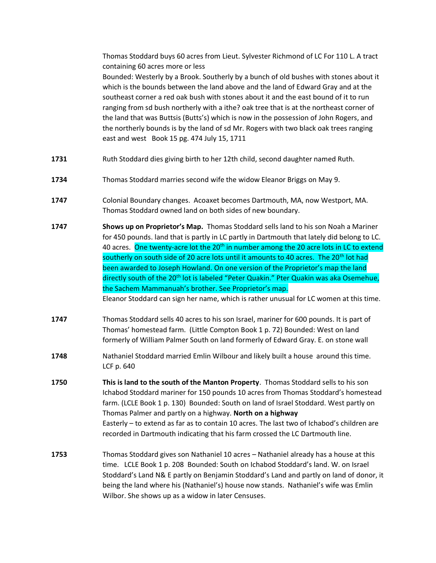Thomas Stoddard buys 60 acres from Lieut. Sylvester Richmond of LC For 110 L. A tract containing 60 acres more or less

Bounded: Westerly by a Brook. Southerly by a bunch of old bushes with stones about it which is the bounds between the land above and the land of Edward Gray and at the southeast corner a red oak bush with stones about it and the east bound of it to run ranging from sd bush northerly with a ithe? oak tree that is at the northeast corner of the land that was Buttsis (Butts's) which is now in the possession of John Rogers, and the northerly bounds is by the land of sd Mr. Rogers with two black oak trees ranging east and west Book 15 pg. 474 July 15, 1711

- **1731** Ruth Stoddard dies giving birth to her 12th child, second daughter named Ruth.
- **1734** Thomas Stoddard marries second wife the widow Eleanor Briggs on May 9.
- **1747** Colonial Boundary changes. Acoaxet becomes Dartmouth, MA, now Westport, MA. Thomas Stoddard owned land on both sides of new boundary.
- **1747 Shows up on Proprietor's Map.** Thomas Stoddard sells land to his son Noah a Mariner for 450 pounds. land that is partly in LC partly in Dartmouth that lately did belong to LC. 40 acres. One twenty-acre lot the  $20<sup>th</sup>$  in number among the 20 acre lots in LC to extend southerly on south side of 20 acre lots until it amounts to 40 acres. The 20<sup>th</sup> lot had been awarded to Joseph Howland. On one version of the Proprietor's map the land directly south of the 20<sup>th</sup> lot is labeled "Peter Quakin." Pter Quakin was aka Osemehue, the Sachem Mammanuah's brother. See Proprietor's map. Eleanor Stoddard can sign her name, which is rather unusual for LC women at this time.
- **1747** Thomas Stoddard sells 40 acres to his son Israel, mariner for 600 pounds. It is part of Thomas' homestead farm. (Little Compton Book 1 p. 72) Bounded: West on land formerly of William Palmer South on land formerly of Edward Gray. E. on stone wall
- **1748** Nathaniel Stoddard married Emlin Wilbour and likely built a house around this time. LCF p. 640
- **1750 This is land to the south of the Manton Property**. Thomas Stoddard sells to his son Ichabod Stoddard mariner for 150 pounds 10 acres from Thomas Stoddard's homestead farm. (LCLE Book 1 p. 130) Bounded: South on land of Israel Stoddard. West partly on Thomas Palmer and partly on a highway. **North on a highway** Easterly – to extend as far as to contain 10 acres. The last two of Ichabod's children are recorded in Dartmouth indicating that his farm crossed the LC Dartmouth line.
- **1753** Thomas Stoddard gives son Nathaniel 10 acres Nathaniel already has a house at this time. LCLE Book 1 p. 208 Bounded: South on Ichabod Stoddard's land. W. on Israel Stoddard's Land N& E partly on Benjamin Stoddard's Land and partly on land of donor, it being the land where his (Nathaniel's) house now stands. Nathaniel's wife was Emlin Wilbor. She shows up as a widow in later Censuses.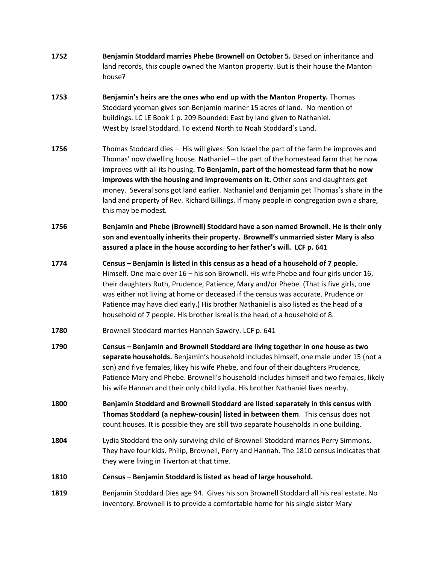**1752 Benjamin Stoddard marries Phebe Brownell on October 5.** Based on inheritance and land records, this couple owned the Manton property. But is their house the Manton house? **1753 Benjamin's heirs are the ones who end up with the Manton Property.** Thomas Stoddard yeoman gives son Benjamin mariner 15 acres of land. No mention of buildings. LC LE Book 1 p. 209 Bounded: East by land given to Nathaniel. West by Israel Stoddard. To extend North to Noah Stoddard's Land. **1756** Thomas Stoddard dies – His will gives: Son Israel the part of the farm he improves and Thomas' now dwelling house. Nathaniel – the part of the homestead farm that he now improves with all its housing. **To Benjamin, part of the homestead farm that he now improves with the housing and improvements on it.** Other sons and daughters get money. Several sons got land earlier. Nathaniel and Benjamin get Thomas's share in the land and property of Rev. Richard Billings. If many people in congregation own a share, this may be modest. **1756 Benjamin and Phebe (Brownell) Stoddard have a son named Brownell. He is their only son and eventually inherits their property. Brownell's unmarried sister Mary is also assured a place in the house according to her father's will. LCF p. 641 1774 Census – Benjamin is listed in this census as a head of a household of 7 people.**  Himself. One male over 16 – his son Brownell. His wife Phebe and four girls under 16, their daughters Ruth, Prudence, Patience, Mary and/or Phebe. (That is five girls, one was either not living at home or deceased if the census was accurate. Prudence or Patience may have died early.) His brother Nathaniel is also listed as the head of a household of 7 people. His brother Isreal is the head of a household of 8. **1780** Brownell Stoddard marries Hannah Sawdry. LCF p. 641 **1790 Census – Benjamin and Brownell Stoddard are living together in one house as two separate households.** Benjamin's household includes himself, one male under 15 (not a son) and five females, likey his wife Phebe, and four of their daughters Prudence, Patience Mary and Phebe. Brownell's household includes himself and two females, likely his wife Hannah and their only child Lydia. His brother Nathaniel lives nearby. **1800 Benjamin Stoddard and Brownell Stoddard are listed separately in this census with Thomas Stoddard (a nephew-cousin) listed in between them**. This census does not count houses. It is possible they are still two separate households in one building. **1804** Lydia Stoddard the only surviving child of Brownell Stoddard marries Perry Simmons. They have four kids. Philip, Brownell, Perry and Hannah. The 1810 census indicates that they were living in Tiverton at that time. **1810 Census – Benjamin Stoddard is listed as head of large household. 1819** Benjamin Stoddard Dies age 94. Gives his son Brownell Stoddard all his real estate. No inventory. Brownell is to provide a comfortable home for his single sister Mary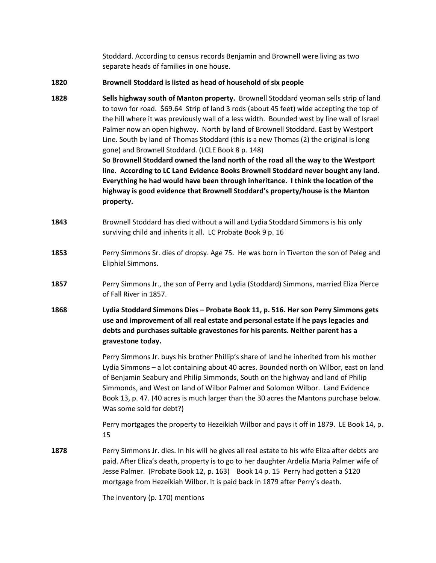Stoddard. According to census records Benjamin and Brownell were living as two separate heads of families in one house.

**1820 Brownell Stoddard is listed as head of household of six people**

**1828 Sells highway south of Manton property.** Brownell Stoddard yeoman sells strip of land to town for road. \$69.64 Strip of land 3 rods (about 45 feet) wide accepting the top of the hill where it was previously wall of a less width. Bounded west by line wall of Israel Palmer now an open highway. North by land of Brownell Stoddard. East by Westport Line. South by land of Thomas Stoddard (this is a new Thomas (2) the original is long gone) and Brownell Stoddard. (LCLE Book 8 p. 148) **So Brownell Stoddard owned the land north of the road all the way to the Westport** 

**line. According to LC Land Evidence Books Brownell Stoddard never bought any land. Everything he had would have been through inheritance. I think the location of the highway is good evidence that Brownell Stoddard's property/house is the Manton property.**

- **1843** Brownell Stoddard has died without a will and Lydia Stoddard Simmons is his only surviving child and inherits it all. LC Probate Book 9 p. 16
- **1853** Perry Simmons Sr. dies of dropsy. Age 75. He was born in Tiverton the son of Peleg and Eliphial Simmons.
- **1857** Perry Simmons Jr., the son of Perry and Lydia (Stoddard) Simmons, married Eliza Pierce of Fall River in 1857.
- **1868 Lydia Stoddard Simmons Dies – Probate Book 11, p. 516. Her son Perry Simmons gets use and improvement of all real estate and personal estate if he pays legacies and debts and purchases suitable gravestones for his parents. Neither parent has a gravestone today.**

Perry Simmons Jr. buys his brother Phillip's share of land he inherited from his mother Lydia Simmons – a lot containing about 40 acres. Bounded north on Wilbor, east on land of Benjamin Seabury and Philip Simmonds, South on the highway and land of Philip Simmonds, and West on land of Wilbor Palmer and Solomon Wilbor. Land Evidence Book 13, p. 47. (40 acres is much larger than the 30 acres the Mantons purchase below. Was some sold for debt?)

Perry mortgages the property to Hezeikiah Wilbor and pays it off in 1879. LE Book 14, p. 15

**1878** Perry Simmons Jr. dies. In his will he gives all real estate to his wife Eliza after debts are paid. After Eliza's death, property is to go to her daughter Ardelia Maria Palmer wife of Jesse Palmer. (Probate Book 12, p. 163) Book 14 p. 15 Perry had gotten a \$120 mortgage from Hezeikiah Wilbor. It is paid back in 1879 after Perry's death.

The inventory (p. 170) mentions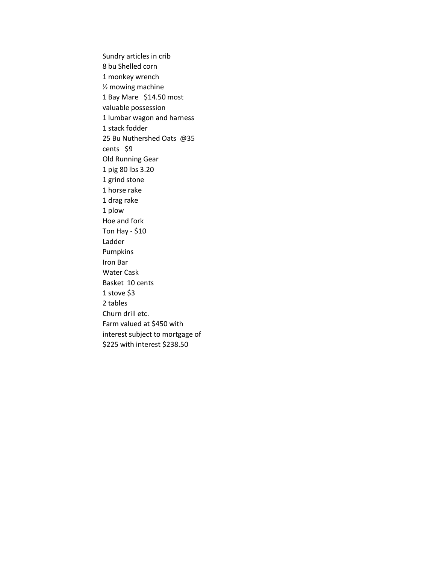Sundry articles in crib 8 bu Shelled corn 1 monkey wrench ½ mowing machine 1 Bay Mare \$14.50 most valuable possession 1 lumbar wagon and harness 1 stack fodder 25 Bu Nuthershed Oats @35 cents \$9 Old Running Gear 1 pig 80 lbs 3.20 1 grind stone 1 horse rake 1 drag rake 1 plow Hoe and fork Ton Hay - \$10 Ladder Pumpkins Iron Bar Water Cask Basket 10 cents 1 stove \$3 2 tables Churn drill etc. Farm valued at \$450 with interest subject to mortgage of \$225 with interest \$238.50